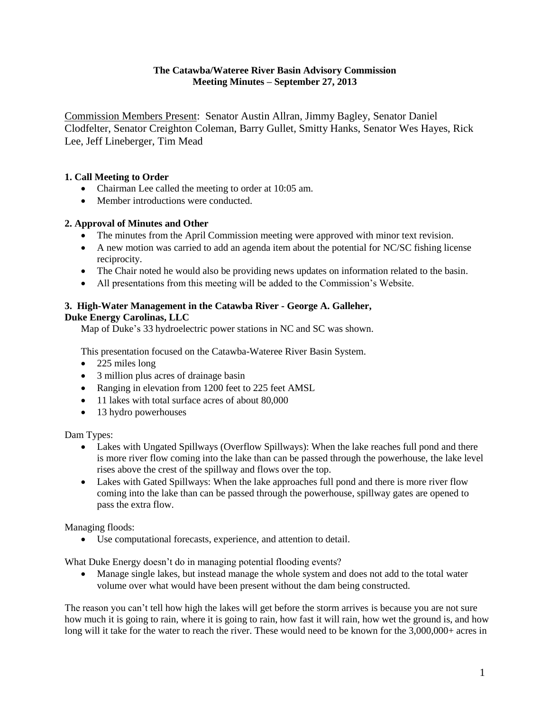## **The Catawba/Wateree River Basin Advisory Commission Meeting Minutes – September 27, 2013**

Commission Members Present: Senator Austin Allran, Jimmy Bagley, Senator Daniel Clodfelter, Senator Creighton Coleman, Barry Gullet, Smitty Hanks, Senator Wes Hayes, Rick Lee, Jeff Lineberger, Tim Mead

## **1. Call Meeting to Order**

- Chairman Lee called the meeting to order at 10:05 am.
- Member introductions were conducted.

## **2. Approval of Minutes and Other**

- The minutes from the April Commission meeting were approved with minor text revision.
- A new motion was carried to add an agenda item about the potential for NC/SC fishing license reciprocity.
- The Chair noted he would also be providing news updates on information related to the basin.
- All presentations from this meeting will be added to the Commission's Website.

# **3. High-Water Management in the Catawba River - George A. Galleher, Duke Energy Carolinas, LLC**

Map of Duke's 33 hydroelectric power stations in NC and SC was shown.

This presentation focused on the Catawba-Wateree River Basin System.

- 225 miles long
- 3 million plus acres of drainage basin
- Ranging in elevation from 1200 feet to 225 feet AMSL
- 11 lakes with total surface acres of about 80,000
- 13 hydro powerhouses

Dam Types:

- Lakes with Ungated Spillways (Overflow Spillways): When the lake reaches full pond and there is more river flow coming into the lake than can be passed through the powerhouse, the lake level rises above the crest of the spillway and flows over the top.
- Lakes with Gated Spillways: When the lake approaches full pond and there is more river flow coming into the lake than can be passed through the powerhouse, spillway gates are opened to pass the extra flow.

Managing floods:

Use computational forecasts, experience, and attention to detail.

What Duke Energy doesn't do in managing potential flooding events?

 Manage single lakes, but instead manage the whole system and does not add to the total water volume over what would have been present without the dam being constructed.

The reason you can't tell how high the lakes will get before the storm arrives is because you are not sure how much it is going to rain, where it is going to rain, how fast it will rain, how wet the ground is, and how long will it take for the water to reach the river. These would need to be known for the 3,000,000+ acres in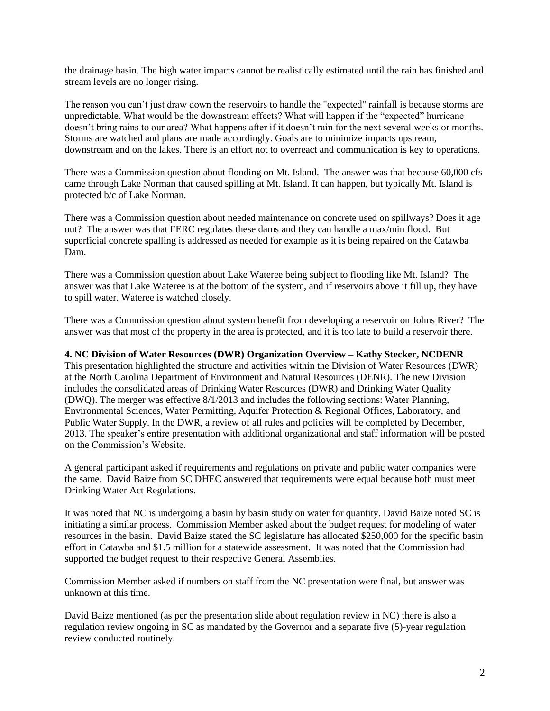the drainage basin. The high water impacts cannot be realistically estimated until the rain has finished and stream levels are no longer rising.

The reason you can't just draw down the reservoirs to handle the "expected" rainfall is because storms are unpredictable. What would be the downstream effects? What will happen if the "expected" hurricane doesn't bring rains to our area? What happens after if it doesn't rain for the next several weeks or months. Storms are watched and plans are made accordingly. Goals are to minimize impacts upstream, downstream and on the lakes. There is an effort not to overreact and communication is key to operations.

There was a Commission question about flooding on Mt. Island. The answer was that because 60,000 cfs came through Lake Norman that caused spilling at Mt. Island. It can happen, but typically Mt. Island is protected b/c of Lake Norman.

There was a Commission question about needed maintenance on concrete used on spillways? Does it age out? The answer was that FERC regulates these dams and they can handle a max/min flood. But superficial concrete spalling is addressed as needed for example as it is being repaired on the Catawba Dam.

There was a Commission question about Lake Wateree being subject to flooding like Mt. Island? The answer was that Lake Wateree is at the bottom of the system, and if reservoirs above it fill up, they have to spill water. Wateree is watched closely.

There was a Commission question about system benefit from developing a reservoir on Johns River? The answer was that most of the property in the area is protected, and it is too late to build a reservoir there.

#### **4. NC Division of Water Resources (DWR) Organization Overview – Kathy Stecker, NCDENR**

This presentation highlighted the structure and activities within the Division of Water Resources (DWR) at the North Carolina Department of Environment and Natural Resources (DENR). The new Division includes the consolidated areas of Drinking Water Resources (DWR) and Drinking Water Quality (DWQ). The merger was effective 8/1/2013 and includes the following sections: Water Planning, Environmental Sciences, Water Permitting, Aquifer Protection & Regional Offices, Laboratory, and Public Water Supply. In the DWR, a review of all rules and policies will be completed by December, 2013. The speaker's entire presentation with additional organizational and staff information will be posted on the Commission's Website.

A general participant asked if requirements and regulations on private and public water companies were the same. David Baize from SC DHEC answered that requirements were equal because both must meet Drinking Water Act Regulations.

It was noted that NC is undergoing a basin by basin study on water for quantity. David Baize noted SC is initiating a similar process. Commission Member asked about the budget request for modeling of water resources in the basin. David Baize stated the SC legislature has allocated \$250,000 for the specific basin effort in Catawba and \$1.5 million for a statewide assessment. It was noted that the Commission had supported the budget request to their respective General Assemblies.

Commission Member asked if numbers on staff from the NC presentation were final, but answer was unknown at this time.

David Baize mentioned (as per the presentation slide about regulation review in NC) there is also a regulation review ongoing in SC as mandated by the Governor and a separate five (5)-year regulation review conducted routinely.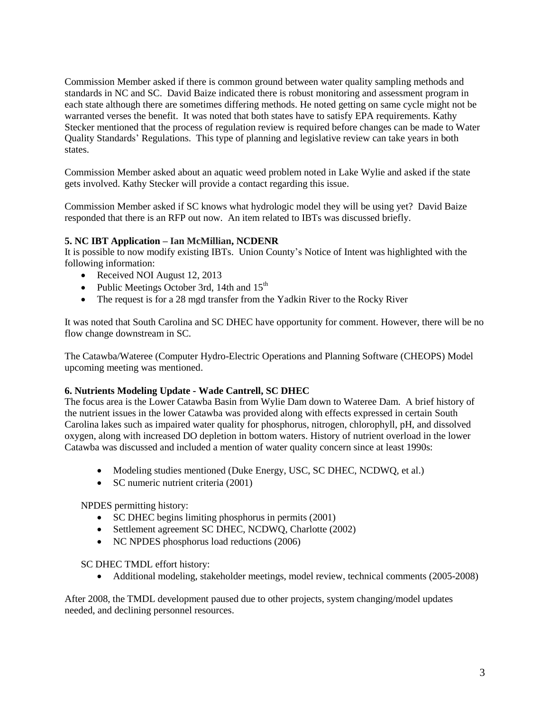Commission Member asked if there is common ground between water quality sampling methods and standards in NC and SC. David Baize indicated there is robust monitoring and assessment program in each state although there are sometimes differing methods. He noted getting on same cycle might not be warranted verses the benefit. It was noted that both states have to satisfy EPA requirements. Kathy Stecker mentioned that the process of regulation review is required before changes can be made to Water Quality Standards' Regulations. This type of planning and legislative review can take years in both states.

Commission Member asked about an aquatic weed problem noted in Lake Wylie and asked if the state gets involved. Kathy Stecker will provide a contact regarding this issue.

Commission Member asked if SC knows what hydrologic model they will be using yet? David Baize responded that there is an RFP out now. An item related to IBTs was discussed briefly.

## **5. NC IBT Application – Ian McMillian, NCDENR**

It is possible to now modify existing IBTs. Union County's Notice of Intent was highlighted with the following information:

- Received NOI August 12, 2013
- Public Meetings October 3rd, 14th and  $15<sup>th</sup>$
- The request is for a 28 mgd transfer from the Yadkin River to the Rocky River

It was noted that South Carolina and SC DHEC have opportunity for comment. However, there will be no flow change downstream in SC.

The Catawba/Wateree (Computer Hydro-Electric Operations and Planning Software (CHEOPS) Model upcoming meeting was mentioned.

### **6. Nutrients Modeling Update - Wade Cantrell, SC DHEC**

The focus area is the Lower Catawba Basin from Wylie Dam down to Wateree Dam. A brief history of the nutrient issues in the lower Catawba was provided along with effects expressed in certain South Carolina lakes such as impaired water quality for phosphorus, nitrogen, chlorophyll, pH, and dissolved oxygen, along with increased DO depletion in bottom waters. History of nutrient overload in the lower Catawba was discussed and included a mention of water quality concern since at least 1990s:

- Modeling studies mentioned (Duke Energy, USC, SC DHEC, NCDWQ, et al.)
- SC numeric nutrient criteria (2001)

NPDES permitting history:

- SC DHEC begins limiting phosphorus in permits (2001)
- Settlement agreement SC DHEC, NCDWO, Charlotte (2002)
- NC NPDES phosphorus load reductions (2006)

SC DHEC TMDL effort history:

Additional modeling, stakeholder meetings, model review, technical comments (2005-2008)

After 2008, the TMDL development paused due to other projects, system changing/model updates needed, and declining personnel resources.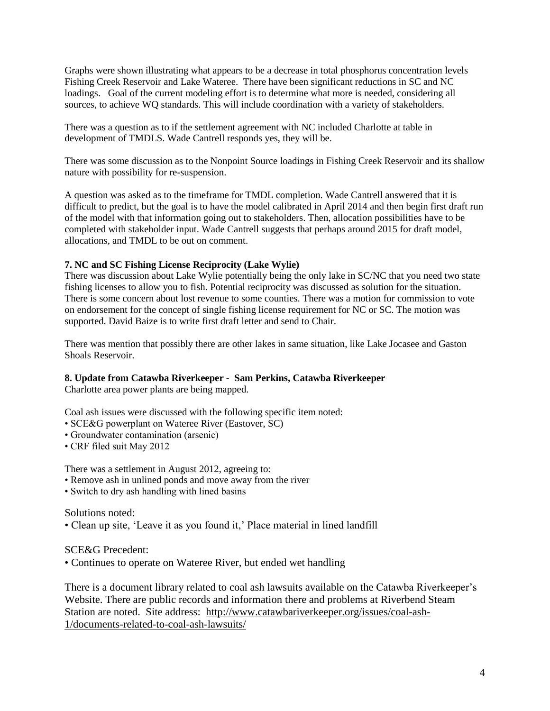Graphs were shown illustrating what appears to be a decrease in total phosphorus concentration levels Fishing Creek Reservoir and Lake Wateree. There have been significant reductions in SC and NC loadings. Goal of the current modeling effort is to determine what more is needed, considering all sources, to achieve WQ standards. This will include coordination with a variety of stakeholders.

There was a question as to if the settlement agreement with NC included Charlotte at table in development of TMDLS. Wade Cantrell responds yes, they will be.

There was some discussion as to the Nonpoint Source loadings in Fishing Creek Reservoir and its shallow nature with possibility for re-suspension.

A question was asked as to the timeframe for TMDL completion. Wade Cantrell answered that it is difficult to predict, but the goal is to have the model calibrated in April 2014 and then begin first draft run of the model with that information going out to stakeholders. Then, allocation possibilities have to be completed with stakeholder input. Wade Cantrell suggests that perhaps around 2015 for draft model, allocations, and TMDL to be out on comment.

## **7. NC and SC Fishing License Reciprocity (Lake Wylie)**

There was discussion about Lake Wylie potentially being the only lake in SC/NC that you need two state fishing licenses to allow you to fish. Potential reciprocity was discussed as solution for the situation. There is some concern about lost revenue to some counties. There was a motion for commission to vote on endorsement for the concept of single fishing license requirement for NC or SC. The motion was supported. David Baize is to write first draft letter and send to Chair.

There was mention that possibly there are other lakes in same situation, like Lake Jocasee and Gaston Shoals Reservoir.

### **8. Update from Catawba Riverkeeper - Sam Perkins, Catawba Riverkeeper**

Charlotte area power plants are being mapped.

Coal ash issues were discussed with the following specific item noted:

- SCE&G powerplant on Wateree River (Eastover, SC)
- Groundwater contamination (arsenic)
- CRF filed suit May 2012

There was a settlement in August 2012, agreeing to:

- Remove ash in unlined ponds and move away from the river
- Switch to dry ash handling with lined basins

Solutions noted:

• Clean up site, 'Leave it as you found it,' Place material in lined landfill

SCE&G Precedent:

• Continues to operate on Wateree River, but ended wet handling

There is a document library related to coal ash lawsuits available on the Catawba Riverkeeper's Website. There are public records and information there and problems at Riverbend Steam Station are noted. Site address: [http://www.catawbariverkeeper.org/issues/coal-ash-](http://www.catawbariverkeeper.org/issues/coal-ash-1/documents-related-to-coal-ash-lawsuits/)[1/documents-related-to-coal-ash-lawsuits/](http://www.catawbariverkeeper.org/issues/coal-ash-1/documents-related-to-coal-ash-lawsuits/)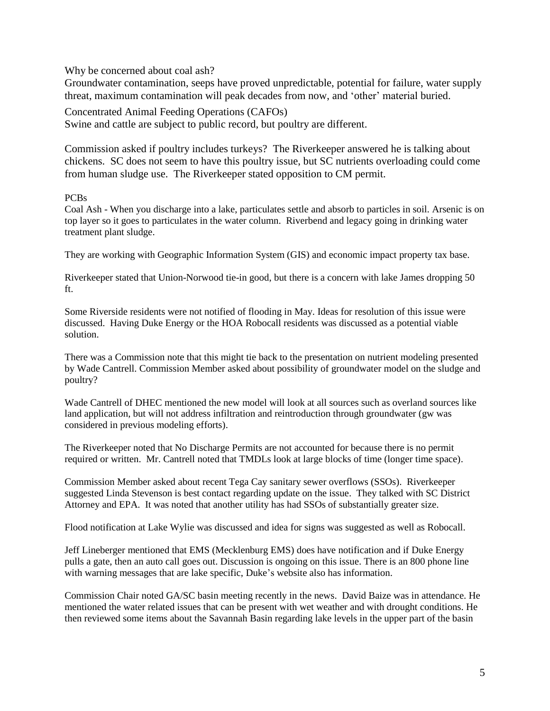Why be concerned about coal ash?

Groundwater contamination, seeps have proved unpredictable, potential for failure, water supply threat, maximum contamination will peak decades from now, and 'other' material buried.

Concentrated Animal Feeding Operations (CAFOs) Swine and cattle are subject to public record, but poultry are different.

Commission asked if poultry includes turkeys? The Riverkeeper answered he is talking about chickens. SC does not seem to have this poultry issue, but SC nutrients overloading could come from human sludge use. The Riverkeeper stated opposition to CM permit.

PCBs

Coal Ash - When you discharge into a lake, particulates settle and absorb to particles in soil. Arsenic is on top layer so it goes to particulates in the water column. Riverbend and legacy going in drinking water treatment plant sludge.

They are working with Geographic Information System (GIS) and economic impact property tax base.

Riverkeeper stated that Union-Norwood tie-in good, but there is a concern with lake James dropping 50 ft.

Some Riverside residents were not notified of flooding in May. Ideas for resolution of this issue were discussed. Having Duke Energy or the HOA Robocall residents was discussed as a potential viable solution.

There was a Commission note that this might tie back to the presentation on nutrient modeling presented by Wade Cantrell. Commission Member asked about possibility of groundwater model on the sludge and poultry?

Wade Cantrell of DHEC mentioned the new model will look at all sources such as overland sources like land application, but will not address infiltration and reintroduction through groundwater (gw was considered in previous modeling efforts).

The Riverkeeper noted that No Discharge Permits are not accounted for because there is no permit required or written. Mr. Cantrell noted that TMDLs look at large blocks of time (longer time space).

Commission Member asked about recent Tega Cay sanitary sewer overflows (SSOs). Riverkeeper suggested Linda Stevenson is best contact regarding update on the issue. They talked with SC District Attorney and EPA. It was noted that another utility has had SSOs of substantially greater size.

Flood notification at Lake Wylie was discussed and idea for signs was suggested as well as Robocall.

Jeff Lineberger mentioned that EMS (Mecklenburg EMS) does have notification and if Duke Energy pulls a gate, then an auto call goes out. Discussion is ongoing on this issue. There is an 800 phone line with warning messages that are lake specific, Duke's website also has information.

Commission Chair noted GA/SC basin meeting recently in the news. David Baize was in attendance. He mentioned the water related issues that can be present with wet weather and with drought conditions. He then reviewed some items about the Savannah Basin regarding lake levels in the upper part of the basin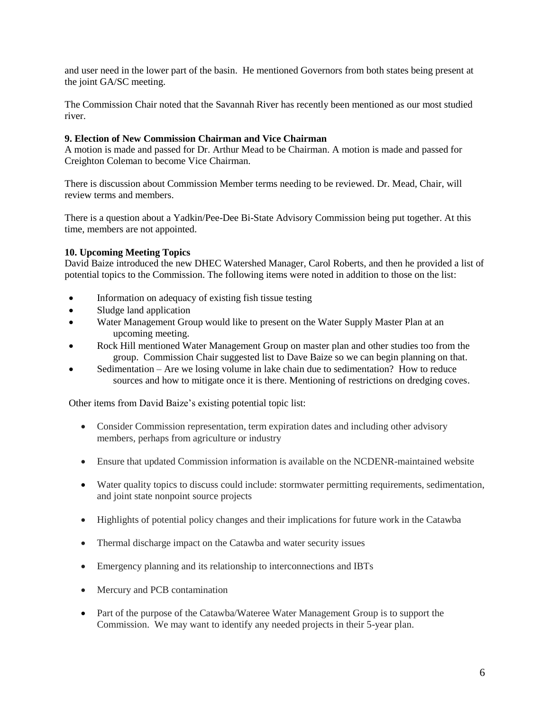and user need in the lower part of the basin. He mentioned Governors from both states being present at the joint GA/SC meeting.

The Commission Chair noted that the Savannah River has recently been mentioned as our most studied river.

### **9. Election of New Commission Chairman and Vice Chairman**

A motion is made and passed for Dr. Arthur Mead to be Chairman. A motion is made and passed for Creighton Coleman to become Vice Chairman.

There is discussion about Commission Member terms needing to be reviewed. Dr. Mead, Chair, will review terms and members.

There is a question about a Yadkin/Pee-Dee Bi-State Advisory Commission being put together. At this time, members are not appointed.

### **10. Upcoming Meeting Topics**

David Baize introduced the new DHEC Watershed Manager, Carol Roberts, and then he provided a list of potential topics to the Commission. The following items were noted in addition to those on the list:

- Information on adequacy of existing fish tissue testing
- Sludge land application
- Water Management Group would like to present on the Water Supply Master Plan at an upcoming meeting.
- Rock Hill mentioned Water Management Group on master plan and other studies too from the group. Commission Chair suggested list to Dave Baize so we can begin planning on that.
- Sedimentation Are we losing volume in lake chain due to sedimentation? How to reduce sources and how to mitigate once it is there. Mentioning of restrictions on dredging coves.

Other items from David Baize's existing potential topic list:

- Consider Commission representation, term expiration dates and including other advisory members, perhaps from agriculture or industry
- Ensure that updated Commission information is available on the NCDENR-maintained website
- Water quality topics to discuss could include: stormwater permitting requirements, sedimentation, and joint state nonpoint source projects
- Highlights of potential policy changes and their implications for future work in the Catawba
- Thermal discharge impact on the Catawba and water security issues
- Emergency planning and its relationship to interconnections and IBTs
- Mercury and PCB contamination
- Part of the purpose of the Catawba/Wateree Water Management Group is to support the Commission. We may want to identify any needed projects in their 5-year plan.